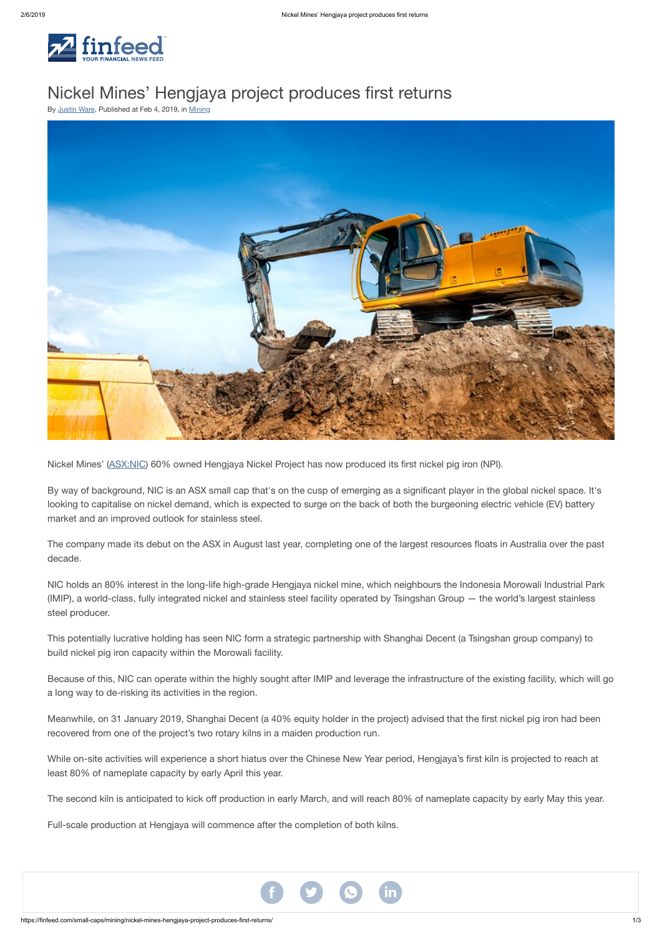



## Nickel Mines' Hengjaya project produces first returns

By [Justin](https://finfeed.com/author/justin-ware/) Ware. Published at Feb 4, 2019, in [Mining](https://finfeed.com/small-caps/mining/)



Nickel Mines' [\(ASX:NIC\)](https://finfeed.com/company/nic/) 60% owned Hengjaya Nickel Project has now produced its first nickel pig iron (NPI).

By way of background, NIC is an ASX small cap that's on the cusp of emerging as a significant player in the global nickel space. It's looking to capitalise on nickel demand, which is expected to surge on the back of both the burgeoning electric vehicle (EV) battery market and an improved outlook for stainless steel.

The company made its debut on the ASX in August last year, completing one of the largest resources floats in Australia over the past decade.

NIC holds an 80% interest in the long-life high-grade Hengjaya nickel mine, which neighbours the Indonesia Morowali Industrial Park (IMIP), a world-class, fully integrated nickel and stainless steel facility operated by Tsingshan Group — the world's largest stainless steel producer.

This potentially lucrative holding has seen NIC form a strategic partnership with Shanghai Decent (a Tsingshan group company) to build nickel pig iron capacity within the Morowali facility.

Because of this, NIC can operate within the highly sought after IMIP and leverage the infrastructure of the existing facility, which will go a long way to de-risking its activities in the region.

Meanwhile, on 31 January 2019, Shanghai Decent (a 40% equity holder in the project) advised that the first nickel pig iron had been recovered from one of the project's two rotary kilns in a maiden production run.

While on-site activities will experience a short hiatus over the Chinese New Year period, Hengjaya's first kiln is projected to reach at least 80% of nameplate capacity by early April this year.

The second kiln is anticipated to kick off production in early March, and will reach 80% of nameplate capacity by early May this year.

Full-scale production at Hengjaya will commence after the completion of both kilns.

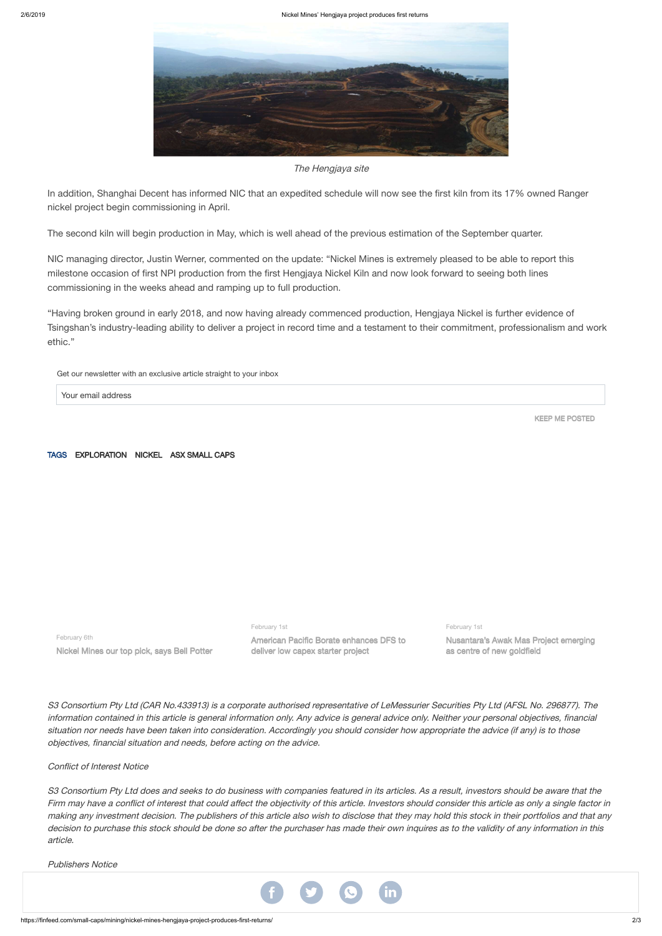

The Hengjaya site

In addition, Shanghai Decent has informed NIC that an expedited schedule will now see the first kiln from its 17% owned Ranger nickel project begin commissioning in April.

The second kiln will begin production in May, which is well ahead of the previous estimation of the September quarter.

NIC managing director, Justin Werner, commented on the update: "Nickel Mines is extremely pleased to be able to report this milestone occasion of first NPI production from the first Hengjaya Nickel Kiln and now look forward to seeing both lines commissioning in the weeks ahead and ramping up to full production.

"Having broken ground in early 2018, and now having already commenced production, Hengjaya Nickel is further evidence of Tsingshan's industry-leading ability to deliver a project in record time and a testament to their commitment, professionalism and work ethic."

information contained in this article is general information only. Any advice is general advice only. Neither your personal objectives, financial situation nor needs have been taken into consideration. Accordingly you should consider how appropriate the advice (if any) is to those objectives, financial situation and needs, before acting on the advice.

Get our newsletter with an exclusive article straight to your inbox

Your email address

KEEP ME POSTED

TAGS [EXPLORATION](https://finfeed.com/tag/exploration/) [NICKEL](https://finfeed.com/tag/nickel/) ASX [SMALL](https://finfeed.com/tag/asx-small-caps/) CAPS

February 6th

Nickel Mines our top pick, says Bell Potter

February 1st

S3 Consortium Pty Ltd does and seeks to do business with companies featured in its articles. As a result, investors should be aware that the Firm may have <sup>a</sup> conflict of interest that could affect the objectivity of this article. Investors should consider this article as only a single factor in making any investment decision. The publishers of this article also wish to disclose that they may hold this stock in their portfolios and that any decision to purchase this stock should be done so after the purchaser has made their own inquires as to the validity of any information in this article.

American Pacific Borate enhances DFS to deliver low capex starter project

February 1st

Nusantara's Awak Mas Project emerging as centre of new goldfield

S3 Consortium Pty Ltd (CAR No.433913) is a corporate authorised representative of LeMessurier Securities Pty Ltd (AFSL No. 296877). The

Conflict of Interest Notice

Publishers Notice